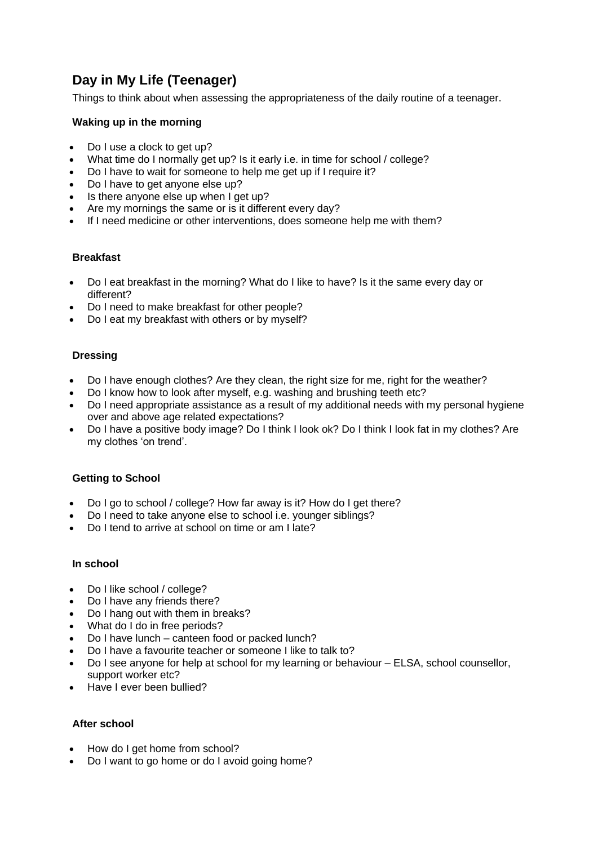# **Day in My Life (Teenager)**

Things to think about when assessing the appropriateness of the daily routine of a teenager.

### **Waking up in the morning**

- Do I use a clock to get up?
- What time do I normally get up? Is it early i.e. in time for school / college?
- Do I have to wait for someone to help me get up if I require it?
- Do I have to get anyone else up?
- Is there anyone else up when I get up?
- Are my mornings the same or is it different every day?
- If I need medicine or other interventions, does someone help me with them?

### **Breakfast**

- Do I eat breakfast in the morning? What do I like to have? Is it the same every day or different?
- Do I need to make breakfast for other people?
- Do I eat my breakfast with others or by myself?

### **Dressing**

- Do I have enough clothes? Are they clean, the right size for me, right for the weather?
- Do I know how to look after myself, e.g. washing and brushing teeth etc?
- Do I need appropriate assistance as a result of my additional needs with my personal hygiene over and above age related expectations?
- Do I have a positive body image? Do I think I look ok? Do I think I look fat in my clothes? Are my clothes 'on trend'.

# **Getting to School**

- Do I go to school / college? How far away is it? How do I get there?
- Do I need to take anyone else to school i.e. younger siblings?
- Do I tend to arrive at school on time or am I late?

### **In school**

- Do I like school / college?
- Do I have any friends there?
- Do I hang out with them in breaks?
- What do I do in free periods?
- Do I have lunch canteen food or packed lunch?
- Do I have a favourite teacher or someone I like to talk to?
- Do I see anyone for help at school for my learning or behaviour ELSA, school counsellor, support worker etc?
- Have I ever been bullied?

# **After school**

- How do I get home from school?
- Do I want to go home or do I avoid going home?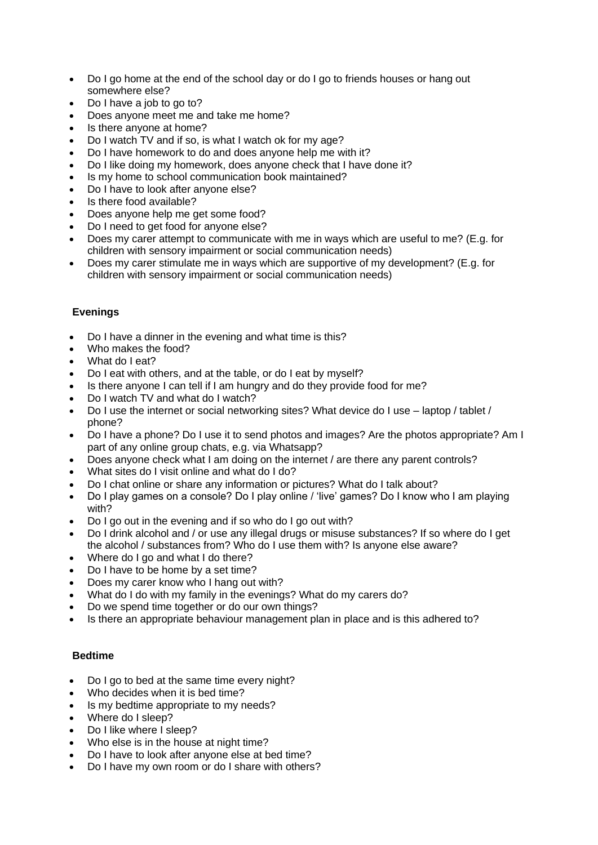- Do I go home at the end of the school day or do I go to friends houses or hang out somewhere else?
- Do I have a job to go to?
- Does anyone meet me and take me home?
- Is there anyone at home?
- Do I watch TV and if so, is what I watch ok for my age?
- Do I have homework to do and does anyone help me with it?
- Do I like doing my homework, does anyone check that I have done it?
- Is my home to school communication book maintained?
- Do I have to look after anyone else?
- Is there food available?
- Does anyone help me get some food?
- Do I need to get food for anyone else?
- Does my carer attempt to communicate with me in ways which are useful to me? (E.g. for children with sensory impairment or social communication needs)
- Does my carer stimulate me in ways which are supportive of my development? (E.g. for children with sensory impairment or social communication needs)

# **Evenings**

- Do I have a dinner in the evening and what time is this?
- Who makes the food?
- What do Leat?
- Do I eat with others, and at the table, or do I eat by myself?
- Is there anyone I can tell if I am hungry and do they provide food for me?
- Do I watch TV and what do I watch?
- Do I use the internet or social networking sites? What device do I use laptop / tablet / phone?
- Do I have a phone? Do I use it to send photos and images? Are the photos appropriate? Am I part of any online group chats, e.g. via Whatsapp?
- Does anyone check what I am doing on the internet / are there any parent controls?
- What sites do I visit online and what do I do?
- Do I chat online or share any information or pictures? What do I talk about?
- Do I play games on a console? Do I play online / 'live' games? Do I know who I am playing with?
- Do I go out in the evening and if so who do I go out with?
- Do I drink alcohol and / or use any illegal drugs or misuse substances? If so where do I get the alcohol / substances from? Who do I use them with? Is anyone else aware?
- Where do I go and what I do there?
- Do I have to be home by a set time?
- Does my carer know who I hang out with?
- What do I do with my family in the evenings? What do my carers do?
- Do we spend time together or do our own things?
- Is there an appropriate behaviour management plan in place and is this adhered to?

# **Bedtime**

- Do I go to bed at the same time every night?
- Who decides when it is bed time?
- Is my bedtime appropriate to my needs?
- Where do I sleep?
- Do I like where I sleep?
- Who else is in the house at night time?
- Do I have to look after anyone else at bed time?
- Do I have my own room or do I share with others?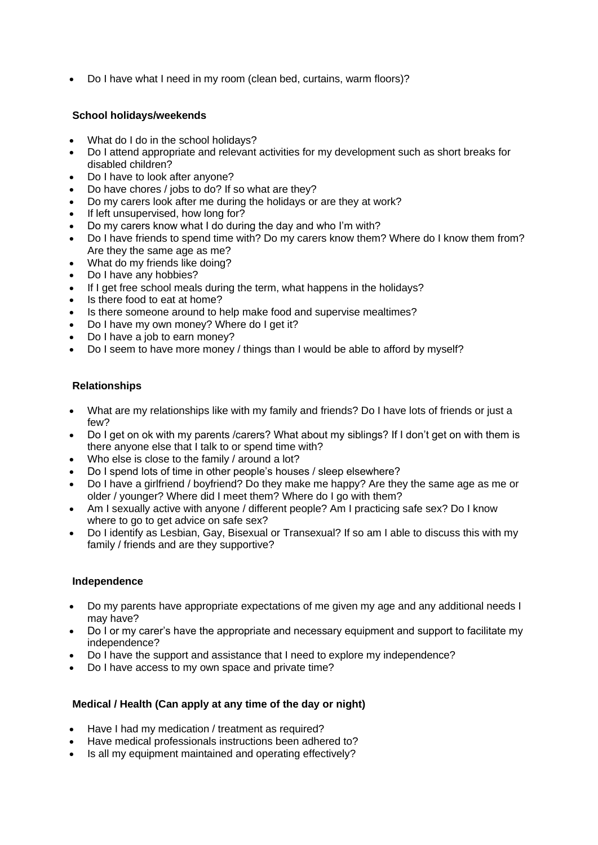• Do I have what I need in my room (clean bed, curtains, warm floors)?

### **School holidays/weekends**

- What do I do in the school holidays?
- Do I attend appropriate and relevant activities for my development such as short breaks for disabled children?
- Do I have to look after anyone?
- Do have chores / jobs to do? If so what are they?
- Do my carers look after me during the holidays or are they at work?
- If left unsupervised, how long for?
- Do my carers know what I do during the day and who I'm with?
- Do I have friends to spend time with? Do my carers know them? Where do I know them from? Are they the same age as me?
- What do my friends like doing?
- Do I have any hobbies?
- If I get free school meals during the term, what happens in the holidays?
- Is there food to eat at home?
- Is there someone around to help make food and supervise mealtimes?
- Do I have my own money? Where do I get it?
- Do I have a job to earn money?
- Do I seem to have more money / things than I would be able to afford by myself?

# **Relationships**

- What are my relationships like with my family and friends? Do I have lots of friends or just a few?
- Do I get on ok with my parents /carers? What about my siblings? If I don't get on with them is there anyone else that I talk to or spend time with?
- Who else is close to the family / around a lot?
- Do I spend lots of time in other people's houses / sleep elsewhere?
- Do I have a girlfriend / boyfriend? Do they make me happy? Are they the same age as me or older / younger? Where did I meet them? Where do I go with them?
- Am I sexually active with anyone / different people? Am I practicing safe sex? Do I know where to go to get advice on safe sex?
- Do I identify as Lesbian, Gay, Bisexual or Transexual? If so am I able to discuss this with my family / friends and are they supportive?

### **Independence**

- Do my parents have appropriate expectations of me given my age and any additional needs I may have?
- Do I or my carer's have the appropriate and necessary equipment and support to facilitate my independence?
- Do I have the support and assistance that I need to explore my independence?
- Do I have access to my own space and private time?

### **Medical / Health (Can apply at any time of the day or night)**

- Have I had my medication / treatment as required?
- Have medical professionals instructions been adhered to?
- Is all my equipment maintained and operating effectively?